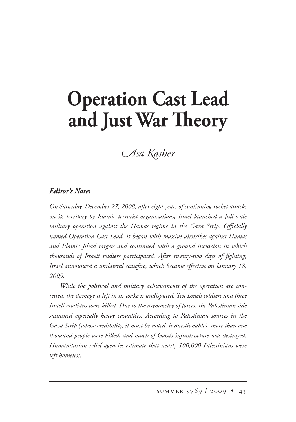## **Operation Cast Lead** and Just War Theory

## *Asa Kasher*

## *Editor's Note:*

*On Saturday, December 27, 2008, after eight years of continuing rocket attacks on its territory by Islamic terrorist organizations, Israel launched a full-scale military operation against the Hamas regime in the Gaza Strip. Officially named Operation Cast Lead, it began with massive airstrikes against Hamas and Islamic Jihad targets and continued with a ground incursion in which thousands of Israeli soldiers participated. After twenty-two days of fighting, Israel announced a unilateral ceasefire, which became effective on January 18, 2009.*

*While the political and military achievements of the operation are contested, the damage it left in its wake is undisputed. Ten Israeli soldiers and three Israeli civilians were killed. Due to the asymmetry of forces, the Palestinian side sustained especially heavy casualties: According to Palestinian sources in the Gaza Strip (whose credibility, it must be noted, is questionable), more than one thousand people were killed, and much of Gaza's infrastructure was destroyed. Humanitarian relief agencies estimate that nearly 100,000 Palestinians were left homeless.*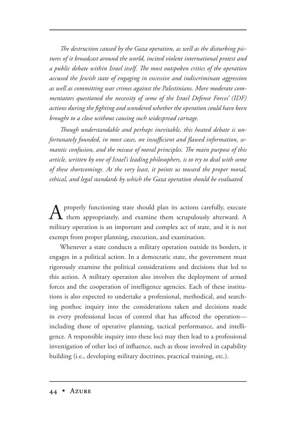*e destruction caused by the Gaza operation, as well as the disturbing pictures of it broadcast around the world, incited violent international protest and*  a public debate within Israel itself. The most outspoken critics of the operation *accused the Jewish state of engaging in excessive and indiscriminate aggression as well as committing war crimes against the Palestinians. More moderate commentators questioned the necessity of some of the Israel Defense Forces' (IDF) actions during the fighting and wondered whether the operation could have been brought to a close without causing such widespread carnage.*

Though understandable and perhaps inevitable, this heated debate is un*fortunately founded, in most cases, on insufficient and flawed information, semantic confusion, and the misuse of moral principles. The main purpose of this article, written by one of Israel's leading philosophers, is to try to deal with some of these shortcomings. At the very least, it points us toward the proper moral, ethical, and legal standards by which the Gaza operation should be evaluated.* 

 $A$  properly functioning state should plan its actions carefully, execute them appropriately, and examine them scrupulously afterward. A military operation is an important and complex act of state, and it is not exempt from proper planning, execution, and examination.

Whenever a state conducts a military operation outside its borders, it engages in a political action. In a democratic state, the government must rigorously examine the political considerations and decisions that led to this action. A military operation also involves the deployment of armed forces and the cooperation of intelligence agencies. Each of these institutions is also expected to undertake a professional, methodical, and searching posthoc inquiry into the considerations taken and decisions made in every professional locus of control that has affected the operation including those of operative planning, tactical performance, and intelligence. A responsible inquiry into these loci may then lead to a professional investigation of other loci of influence, such as those involved in capability building (i.e., developing military doctrines, practical training, etc.).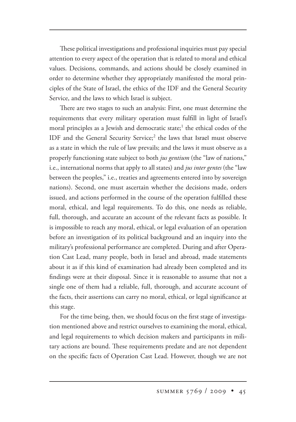These political investigations and professional inquiries must pay special attention to every aspect of the operation that is related to moral and ethical values. Decisions, commands, and actions should be closely examined in order to determine whether they appropriately manifested the moral principles of the State of Israel, the ethics of the IDF and the General Security Service, and the laws to which Israel is subject.

There are two stages to such an analysis: First, one must determine the requirements that every military operation must fulfill in light of Israel's moral principles as a Jewish and democratic state;<sup>1</sup> the ethical codes of the IDF and the General Security Service;<sup>2</sup> the laws that Israel must observe as a state in which the rule of law prevails; and the laws it must observe as a properly functioning state subject to both *jus gentium* (the "law of nations," i.e., international norms that apply to all states) and *jus inter gentes* (the "law between the peoples," i.e., treaties and agreements entered into by sovereign nations). Second, one must ascertain whether the decisions made, orders issued, and actions performed in the course of the operation fulfilled these moral, ethical, and legal requirements. To do this, one needs as reliable, full, thorough, and accurate an account of the relevant facts as possible. It is impossible to reach any moral, ethical, or legal evaluation of an operation before an investigation of its political background and an inquiry into the military's professional performance are completed. During and after Operation Cast Lead, many people, both in Israel and abroad, made statements about it as if this kind of examination had already been completed and its findings were at their disposal. Since it is reasonable to assume that not a single one of them had a reliable, full, thorough, and accurate account of the facts, their assertions can carry no moral, ethical, or legal significance at this stage.

For the time being, then, we should focus on the first stage of investigation mentioned above and restrict ourselves to examining the moral, ethical, and legal requirements to which decision makers and participants in military actions are bound. These requirements predate and are not dependent on the specific facts of Operation Cast Lead. However, though we are not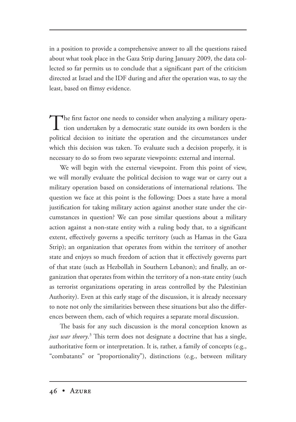in a position to provide a comprehensive answer to all the questions raised about what took place in the Gaza Strip during January 2009, the data collected so far permits us to conclude that a significant part of the criticism directed at Israel and the IDF during and after the operation was, to say the least, based on flimsy evidence.

The first factor one needs to consider when analyzing a military operation undertaken by a democratic state outside its own borders is the political decision to initiate the operation and the circumstances under which this decision was taken. To evaluate such a decision properly, it is necessary to do so from two separate viewpoints: external and internal.

We will begin with the external viewpoint. From this point of view, we will morally evaluate the political decision to wage war or carry out a military operation based on considerations of international relations. The question we face at this point is the following: Does a state have a moral justification for taking military action against another state under the circumstances in question? We can pose similar questions about a military action against a non-state entity with a ruling body that, to a significant extent, effectively governs a specific territory (such as Hamas in the Gaza Strip); an organization that operates from within the territory of another state and enjoys so much freedom of action that it effectively governs part of that state (such as Hezbollah in Southern Lebanon); and finally, an organization that operates from within the territory of a non-state entity (such as terrorist organizations operating in areas controlled by the Palestinian Authority). Even at this early stage of the discussion, it is already necessary to note not only the similarities between these situations but also the differences between them, each of which requires a separate moral discussion.

The basis for any such discussion is the moral conception known as just war theory.<sup>3</sup> This term does not designate a doctrine that has a single, authoritative form or interpretation. It is, rather, a family of concepts (e.g., "combatants" or "proportionality"), distinctions (e.g., between military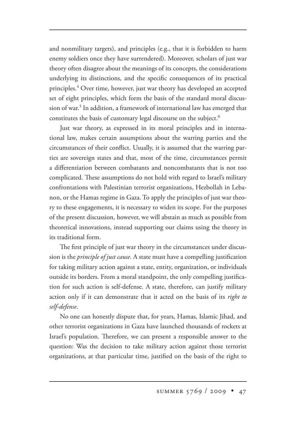and nonmilitary targets), and principles (e.g., that it is forbidden to harm enemy soldiers once they have surrendered). Moreover, scholars of just war theory often disagree about the meanings of its concepts, the considerations underlying its distinctions, and the specific consequences of its practical principles.<sup>4</sup> Over time, however, just war theory has developed an accepted set of eight principles, which form the basis of the standard moral discussion of war.5 In addition, a framework of international law has emerged that constitutes the basis of customary legal discourse on the subject.<sup>6</sup>

Just war theory, as expressed in its moral principles and in international law, makes certain assumptions about the warring parties and the circumstances of their conflict. Usually, it is assumed that the warring parties are sovereign states and that, most of the time, circumstances permit a differentiation between combatants and noncombatants that is not too complicated. These assumptions do not hold with regard to Israel's military confrontations with Palestinian terrorist organizations, Hezbollah in Lebanon, or the Hamas regime in Gaza. To apply the principles of just war theory to these engagements, it is necessary to widen its scope. For the purposes of the present discussion, however, we will abstain as much as possible from theoretical innovations, instead supporting our claims using the theory in its traditional form.

The first principle of just war theory in the circumstances under discussion is the *principle of just cause*. A state must have a compelling justification for taking military action against a state, entity, organization, or individuals outside its borders. From a moral standpoint, the only compelling justification for such action is self-defense. A state, therefore, can justify military action only if it can demonstrate that it acted on the basis of its *right to self-defense*.

No one can honestly dispute that, for years, Hamas, Islamic Jihad, and other terrorist organizations in Gaza have launched thousands of rockets at Israel's population. Therefore, we can present a responsible answer to the question: Was the decision to take military action against those terrorist organizations, at that particular time, justified on the basis of the right to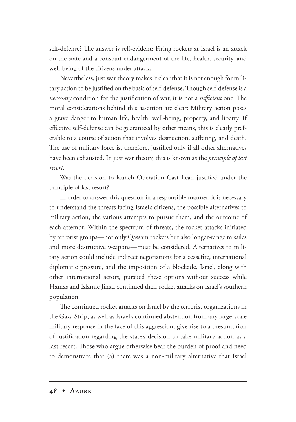self-defense? The answer is self-evident: Firing rockets at Israel is an attack on the state and a constant endangerment of the life, health, security, and well-being of the citizens under attack.

Nevertheless, just war theory makes it clear that it is not enough for military action to be justified on the basis of self-defense. Though self-defense is a *necessary* condition for the justification of war, it is not a *sufficient* one. The moral considerations behind this assertion are clear: Military action poses a grave danger to human life, health, well-being, property, and liberty. If effective self-defense can be guaranteed by other means, this is clearly preferable to a course of action that involves destruction, suffering, and death. The use of military force is, therefore, justified only if all other alternatives have been exhausted. In just war theory, this is known as the *principle of last resort*.

Was the decision to launch Operation Cast Lead justified under the principle of last resort?

In order to answer this question in a responsible manner, it is necessary to understand the threats facing Israel's citizens, the possible alternatives to military action, the various attempts to pursue them, and the outcome of each attempt. Within the spectrum of threats, the rocket attacks initiated by terrorist groups—not only Qassam rockets but also longer-range missiles and more destructive weapons—must be considered. Alternatives to military action could include indirect negotiations for a ceasefire, international diplomatic pressure, and the imposition of a blockade. Israel, along with other international actors, pursued these options without success while Hamas and Islamic Jihad continued their rocket attacks on Israel's southern population.

The continued rocket attacks on Israel by the terrorist organizations in the Gaza Strip, as well as Israel's continued abstention from any large-scale military response in the face of this aggression, give rise to a presumption of justification regarding the state's decision to take military action as a last resort. Those who argue otherwise bear the burden of proof and need to demonstrate that (a) there was a non-military alternative that Israel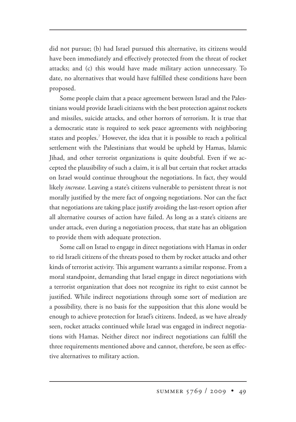did not pursue; (b) had Israel pursued this alternative, its citizens would have been immediately and effectively protected from the threat of rocket attacks; and (c) this would have made military action unnecessary. To date, no alternatives that would have fulfilled these conditions have been proposed.

Some people claim that a peace agreement between Israel and the Palestinians would provide Israeli citizens with the best protection against rockets and missiles, suicide attacks, and other horrors of terrorism. It is true that a democratic state is required to seek peace agreements with neighboring states and peoples.7 However, the idea that it is possible to reach a political settlement with the Palestinians that would be upheld by Hamas, Islamic Jihad, and other terrorist organizations is quite doubtful. Even if we accepted the plausibility of such a claim, it is all but certain that rocket attacks on Israel would continue throughout the negotiations. In fact, they would likely *increase*. Leaving a state's citizens vulnerable to persistent threat is not morally justified by the mere fact of ongoing negotiations. Nor can the fact that negotiations are taking place justify avoiding the last-resort option after all alternative courses of action have failed. As long as a state's citizens are under attack, even during a negotiation process, that state has an obligation to provide them with adequate protection.

Some call on Israel to engage in direct negotiations with Hamas in order to rid Israeli citizens of the threats posed to them by rocket attacks and other kinds of terrorist activity. This argument warrants a similar response. From a moral standpoint, demanding that Israel engage in direct negotiations with a terrorist organization that does not recognize its right to exist cannot be justified. While indirect negotiations through some sort of mediation are a possibility, there is no basis for the supposition that this alone would be enough to achieve protection for Israel's citizens. Indeed, as we have already seen, rocket attacks continued while Israel was engaged in indirect negotiations with Hamas. Neither direct nor indirect negotiations can fulfill the three requirements mentioned above and cannot, therefore, be seen as effective alternatives to military action.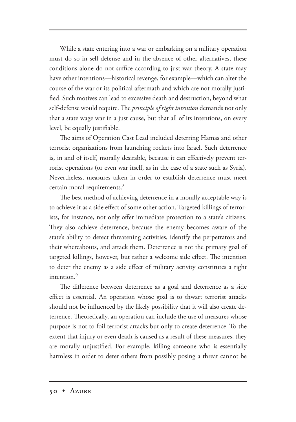While a state entering into a war or embarking on a military operation must do so in self-defense and in the absence of other alternatives, these conditions alone do not suffice according to just war theory. A state may have other intentions—historical revenge, for example—which can alter the course of the war or its political aftermath and which are not morally justified. Such motives can lead to excessive death and destruction, beyond what self-defense would require. The *principle of right intention* demands not only that a state wage war in a just cause, but that all of its intentions, on every level, be equally justifiable.

The aims of Operation Cast Lead included deterring Hamas and other terrorist organizations from launching rockets into Israel. Such deterrence is, in and of itself, morally desirable, because it can effectively prevent terrorist operations (or even war itself, as in the case of a state such as Syria). Nevertheless, measures taken in order to establish deterrence must meet certain moral requirements.<sup>8</sup>

The best method of achieving deterrence in a morally acceptable way is to achieve it as a side effect of some other action. Targeted killings of terrorists, for instance, not only offer immediate protection to a state's citizens. They also achieve deterrence, because the enemy becomes aware of the state's ability to detect threatening activities, identify the perpetrators and their whereabouts, and attack them. Deterrence is not the primary goal of targeted killings, however, but rather a welcome side effect. The intention to deter the enemy as a side effect of military activity constitutes a right intention.<sup>9</sup>

The difference between deterrence as a goal and deterrence as a side effect is essential. An operation whose goal is to thwart terrorist attacks should not be influenced by the likely possibility that it will also create deterrence. Theoretically, an operation can include the use of measures whose purpose is not to foil terrorist attacks but only to create deterrence. To the extent that injury or even death is caused as a result of these measures, they are morally unjustified. For example, killing someone who is essentially harmless in order to deter others from possibly posing a threat cannot be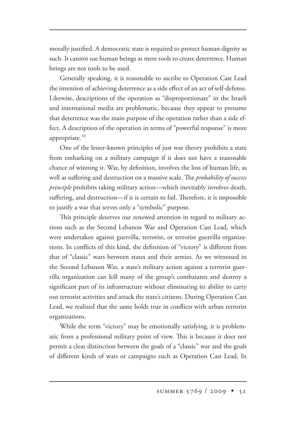morally justified. A democratic state is required to protect human dignity as such. It cannot use human beings as mere tools to create deterrence. Human beings are not tools to be used.

Generally speaking, it is reasonable to ascribe to Operation Cast Lead the intention of achieving deterrence as a side effect of an act of self-defense. Likewise, descriptions of the operation as "disproportionate" in the Israeli and international media are problematic, because they appear to presume that deterrence was the main purpose of the operation rather than a side effect. A description of the operation in terms of "powerful response" is more appropriate. $10$ 

One of the lesser-known principles of just war theory prohibits a state from embarking on a military campaign if it does not have a reasonable chance of winning it. War, by definition, involves the loss of human life, as well as suffering and destruction on a massive scale. The *probability of success principle* prohibits taking military action—which inevitably involves death, suffering, and destruction—if it is certain to fail. Therefore, it is impossible to justify a war that serves only a "symbolic" purpose.

This principle deserves our renewed attention in regard to military actions such as the Second Lebanon War and Operation Cast Lead, which were undertaken against guerrilla, terrorist, or terrorist guerrilla organizations. In conflicts of this kind, the definition of "victory" is different from that of "classic" wars between states and their armies. As we witnessed in the Second Lebanon War, a state's military action against a terrorist guerrilla organization can kill many of the group's combatants and destroy a significant part of its infrastructure without eliminating its ability to carry out terrorist activities and attack the state's citizens. During Operation Cast Lead, we realized that the same holds true in conflicts with urban terrorist organizations.

While the term "victory" may be emotionally satisfying, it is problematic from a professional military point of view. This is because it does not permit a clear distinction between the goals of a "classic" war and the goals of different kinds of wars or campaigns such as Operation Cast Lead. In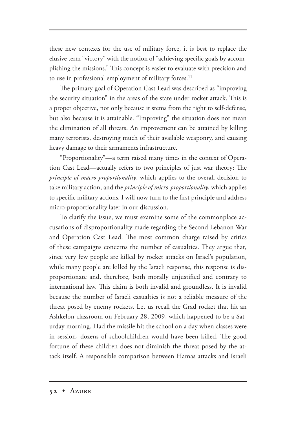these new contexts for the use of military force, it is best to replace the elusive term "victory" with the notion of "achieving specific goals by accomplishing the missions." This concept is easier to evaluate with precision and to use in professional employment of military forces.<sup>11</sup>

The primary goal of Operation Cast Lead was described as "improving the security situation" in the areas of the state under rocket attack. This is a proper objective, not only because it stems from the right to self-defense, but also because it is attainable. "Improving" the situation does not mean the elimination of all threats. An improvement can be attained by killing many terrorists, destroying much of their available weaponry, and causing heavy damage to their armaments infrastructure.

"Proportionality"—a term raised many times in the context of Operation Cast Lead—actually refers to two principles of just war theory: The *principle of macro-proportionality*, which applies to the overall decision to take military action, and the *principle of micro-proportionality*, which applies to specific military actions. I will now turn to the first principle and address micro-proportionality later in our discussion.

To clarify the issue, we must examine some of the commonplace accusations of disproportionality made regarding the Second Lebanon War and Operation Cast Lead. The most common charge raised by critics of these campaigns concerns the number of casualties. They argue that, since very few people are killed by rocket attacks on Israel's population, while many people are killed by the Israeli response, this response is disproportionate and, therefore, both morally unjustified and contrary to international law. This claim is both invalid and groundless. It is invalid because the number of Israeli casualties is not a reliable measure of the threat posed by enemy rockets. Let us recall the Grad rocket that hit an Ashkelon classroom on February 28, 2009, which happened to be a Saturday morning. Had the missile hit the school on a day when classes were in session, dozens of schoolchildren would have been killed. The good fortune of these children does not diminish the threat posed by the attack itself. A responsible comparison between Hamas attacks and Israeli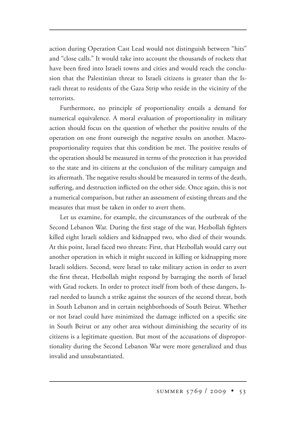action during Operation Cast Lead would not distinguish between "hits" and "close calls." It would take into account the thousands of rockets that have been fired into Israeli towns and cities and would reach the conclusion that the Palestinian threat to Israeli citizens is greater than the Israeli threat to residents of the Gaza Strip who reside in the vicinity of the terrorists.

Furthermore, no principle of proportionality entails a demand for numerical equivalence. A moral evaluation of proportionality in military action should focus on the question of whether the positive results of the operation on one front outweigh the negative results on another. Macroproportionality requires that this condition be met. The positive results of the operation should be measured in terms of the protection it has provided to the state and its citizens at the conclusion of the military campaign and its aftermath. The negative results should be measured in terms of the death, suffering, and destruction inflicted on the other side. Once again, this is not a numerical comparison, but rather an assessment of existing threats and the measures that must be taken in order to avert them.

Let us examine, for example, the circumstances of the outbreak of the Second Lebanon War. During the first stage of the war, Hezbollah fighters killed eight Israeli soldiers and kidnapped two, who died of their wounds. At this point, Israel faced two threats: First, that Hezbollah would carry out another operation in which it might succeed in killing or kidnapping more Israeli soldiers. Second, were Israel to take military action in order to avert the first threat, Hezbollah might respond by barraging the north of Israel with Grad rockets. In order to protect itself from both of these dangers, Israel needed to launch a strike against the sources of the second threat, both in South Lebanon and in certain neighborhoods of South Beirut. Whether or not Israel could have minimized the damage inflicted on a specific site in South Beirut or any other area without diminishing the security of its citizens is a legitimate question. But most of the accusations of disproportionality during the Second Lebanon War were more generalized and thus invalid and unsubstantiated.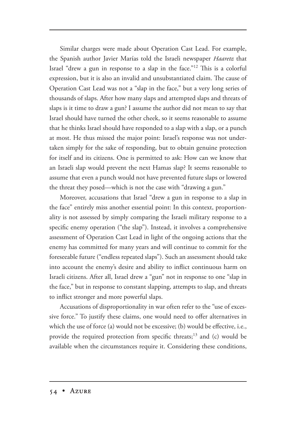Similar charges were made about Operation Cast Lead. For example, the Spanish author Javier Marías told the Israeli newspaper *Haaretz* that Israel "drew a gun in response to a slap in the face."<sup>12</sup> This is a colorful expression, but it is also an invalid and unsubstantiated claim. The cause of Operation Cast Lead was not a "slap in the face," but a very long series of thousands of slaps. After how many slaps and attempted slaps and threats of slaps is it time to draw a gun? I assume the author did not mean to say that Israel should have turned the other cheek, so it seems reasonable to assume that he thinks Israel should have responded to a slap with a slap, or a punch at most. He thus missed the major point: Israel's response was not undertaken simply for the sake of responding, but to obtain genuine protection for itself and its citizens. One is permitted to ask: How can we know that an Israeli slap would prevent the next Hamas slap? It seems reasonable to assume that even a punch would not have prevented future slaps or lowered the threat they posed—which is not the case with "drawing a gun."

Moreover, accusations that Israel "drew a gun in response to a slap in the face" entirely miss another essential point: In this context, proportionality is not assessed by simply comparing the Israeli military response to a specific enemy operation ("the slap"). Instead, it involves a comprehensive assessment of Operation Cast Lead in light of the ongoing actions that the enemy has committed for many years and will continue to commit for the foreseeable future ("endless repeated slaps"). Such an assessment should take into account the enemy's desire and ability to inflict continuous harm on Israeli citizens. After all, Israel drew a "gun" not in response to one "slap in the face," but in response to constant slapping, attempts to slap, and threats to inflict stronger and more powerful slaps.

Accusations of disproportionality in war often refer to the "use of excessive force." To justify these claims, one would need to offer alternatives in which the use of force (a) would not be excessive; (b) would be effective, i.e., provide the required protection from specific threats;<sup>13</sup> and (c) would be available when the circumstances require it. Considering these conditions,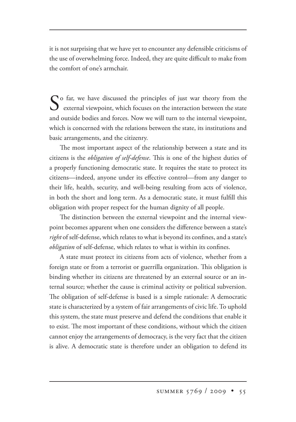it is not surprising that we have yet to encounter any defensible criticisms of the use of overwhelming force. Indeed, they are quite difficult to make from the comfort of one's armchair.

So far, we have discussed the principles of just war theory from the external viewpoint, which focuses on the interaction between the state and outside bodies and forces. Now we will turn to the internal viewpoint, which is concerned with the relations between the state, its institutions and basic arrangements, and the citizenry.

The most important aspect of the relationship between a state and its citizens is the *obligation of self-defense*. This is one of the highest duties of a properly functioning democratic state. It requires the state to protect its citizens—indeed, anyone under its effective control—from any danger to their life, health, security, and well-being resulting from acts of violence, in both the short and long term. As a democratic state, it must fulfill this obligation with proper respect for the human dignity of all people.

The distinction between the external viewpoint and the internal viewpoint becomes apparent when one considers the difference between a state's *right* of self-defense, which relates to what is beyond its confines, and a state's *obligation* of self-defense, which relates to what is within its confines.

A state must protect its citizens from acts of violence, whether from a foreign state or from a terrorist or guerrilla organization. This obligation is binding whether its citizens are threatened by an external source or an internal source; whether the cause is criminal activity or political subversion. The obligation of self-defense is based is a simple rationale: A democratic state is characterized by a system of fair arrangements of civic life. To uphold this system, the state must preserve and defend the conditions that enable it to exist. The most important of these conditions, without which the citizen cannot enjoy the arrangements of democracy, is the very fact that the citizen is alive. A democratic state is therefore under an obligation to defend its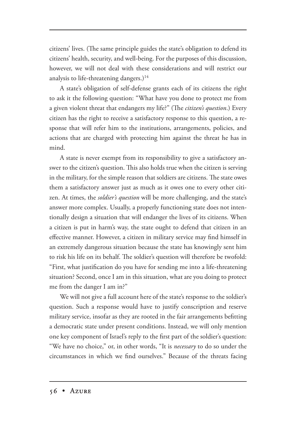citizens' lives. (The same principle guides the state's obligation to defend its citizens' health, security, and well-being. For the purposes of this discussion, however, we will not deal with these considerations and will restrict our analysis to life-threatening dangers.)<sup>14</sup>

A state's obligation of self-defense grants each of its citizens the right to ask it the following question: "What have you done to protect me from a given violent threat that endangers my life?" (The *citizen's question*.) Every citizen has the right to receive a satisfactory response to this question, a response that will refer him to the institutions, arrangements, policies, and actions that are charged with protecting him against the threat he has in mind.

A state is never exempt from its responsibility to give a satisfactory answer to the citizen's question. This also holds true when the citizen is serving in the military, for the simple reason that soldiers are citizens. The state owes them a satisfactory answer just as much as it owes one to every other citizen. At times, the *soldier's question* will be more challenging, and the state's answer more complex. Usually, a properly functioning state does not intentionally design a situation that will endanger the lives of its citizens. When a citizen is put in harm's way, the state ought to defend that citizen in an effective manner. However, a citizen in military service may find himself in an extremely dangerous situation because the state has knowingly sent him to risk his life on its behalf. The soldier's question will therefore be twofold: "First, what justification do you have for sending me into a life-threatening situation? Second, once I am in this situation, what are you doing to protect me from the danger I am in?"

We will not give a full account here of the state's response to the soldier's question. Such a response would have to justify conscription and reserve military service, insofar as they are rooted in the fair arrangements befitting a democratic state under present conditions. Instead, we will only mention one key component of Israel's reply to the first part of the soldier's question: "We have no choice," or, in other words, "It is *necessary* to do so under the circumstances in which we find ourselves." Because of the threats facing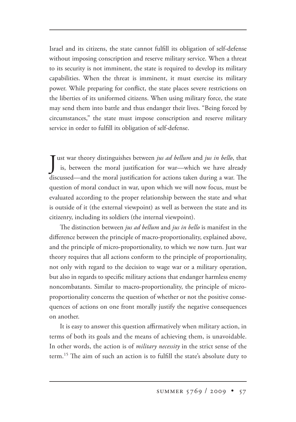Israel and its citizens, the state cannot fulfill its obligation of self-defense without imposing conscription and reserve military service. When a threat to its security is not imminent, the state is required to develop its military capabilities. When the threat is imminent, it must exercise its military power. While preparing for conflict, the state places severe restrictions on the liberties of its uniformed citizens. When using military force, the state may send them into battle and thus endanger their lives. "Being forced by circumstances," the state must impose conscription and reserve military service in order to fulfill its obligation of self-defense.

**J** ust war theory distinguishes between *jus ad bellum* and *jus in bello*, that is, between the moral justification for war—which we have already is, between the moral justification for war—which we have already discussed—and the moral justification for actions taken during a war. The question of moral conduct in war, upon which we will now focus, must be evaluated according to the proper relationship between the state and what is outside of it (the external viewpoint) as well as between the state and its citizenry, including its soldiers (the internal viewpoint).

e distinction between *jus ad bellum* and *jus in bello* is manifest in the difference between the principle of macro-proportionality, explained above, and the principle of micro-proportionality, to which we now turn. Just war theory requires that all actions conform to the principle of proportionality, not only with regard to the decision to wage war or a military operation, but also in regards to specific military actions that endanger harmless enemy noncombatants. Similar to macro-proportionality, the principle of microproportionality concerns the question of whether or not the positive consequences of actions on one front morally justify the negative consequences on another.

It is easy to answer this question affirmatively when military action, in terms of both its goals and the means of achieving them, is unavoidable. In other words, the action is of *military necessity* in the strict sense of the term.<sup>15</sup> The aim of such an action is to fulfill the state's absolute duty to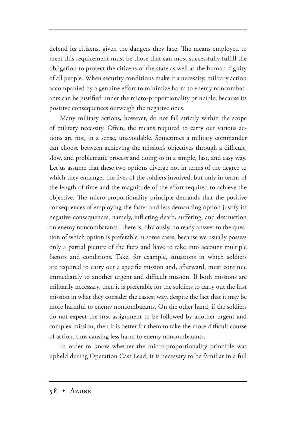defend its citizens, given the dangers they face. The means employed to meet this requirement must be those that can most successfully fulfill the obligation to protect the citizens of the state as well as the human dignity of all people. When security conditions make it a necessity, military action accompanied by a genuine effort to minimize harm to enemy noncombatants can be justified under the micro-proportionality principle, because its positive consequences outweigh the negative ones.

Many military actions, however, do not fall strictly within the scope of military necessity. Often, the means required to carry out various actions are not, in a sense, unavoidable. Sometimes a military commander can choose between achieving the mission's objectives through a difficult, slow, and problematic process and doing so in a simple, fast, and easy way. Let us assume that these two options diverge not in terms of the degree to which they endanger the lives of the soldiers involved, but only in terms of the length of time and the magnitude of the effort required to achieve the objective. The micro-proportionality principle demands that the positive consequences of employing the faster and less demanding option justify its negative consequences, namely, inflicting death, suffering, and destruction on enemy noncombatants. There is, obviously, no ready answer to the question of which option is preferable in some cases, because we usually possess only a partial picture of the facts and have to take into account multiple factors and conditions. Take, for example, situations in which soldiers are required to carry out a specific mission and, afterward, must continue immediately to another urgent and difficult mission. If both missions are militarily necessary, then it is preferable for the soldiers to carry out the first mission in what they consider the easiest way, despite the fact that it may be more harmful to enemy noncombatants. On the other hand, if the soldiers do not expect the first assignment to be followed by another urgent and complex mission, then it is better for them to take the more difficult course of action, thus causing less harm to enemy noncombatants.

In order to know whether the micro-proportionality principle was upheld during Operation Cast Lead, it is necessary to be familiar in a full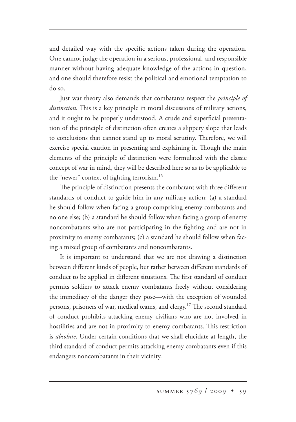and detailed way with the specific actions taken during the operation. One cannot judge the operation in a serious, professional, and responsible manner without having adequate knowledge of the actions in question, and one should therefore resist the political and emotional temptation to do so.

Just war theory also demands that combatants respect the *principle of distinction*. This is a key principle in moral discussions of military actions, and it ought to be properly understood. A crude and superficial presentation of the principle of distinction often creates a slippery slope that leads to conclusions that cannot stand up to moral scrutiny. Therefore, we will exercise special caution in presenting and explaining it. Though the main elements of the principle of distinction were formulated with the classic concept of war in mind, they will be described here so as to be applicable to the "newer" context of fighting terrorism.<sup>16</sup>

The principle of distinction presents the combatant with three different standards of conduct to guide him in any military action: (a) a standard he should follow when facing a group comprising enemy combatants and no one else; (b) a standard he should follow when facing a group of enemy noncombatants who are not participating in the fighting and are not in proximity to enemy combatants; (c) a standard he should follow when facing a mixed group of combatants and noncombatants.

It is important to understand that we are not drawing a distinction between different kinds of people, but rather between different standards of conduct to be applied in different situations. The first standard of conduct permits soldiers to attack enemy combatants freely without considering the immediacy of the danger they pose—with the exception of wounded persons, prisoners of war, medical teams, and clergy.<sup>17</sup> The second standard of conduct prohibits attacking enemy civilians who are not involved in hostilities and are not in proximity to enemy combatants. This restriction is *absolute*. Under certain conditions that we shall elucidate at length, the third standard of conduct permits attacking enemy combatants even if this endangers noncombatants in their vicinity.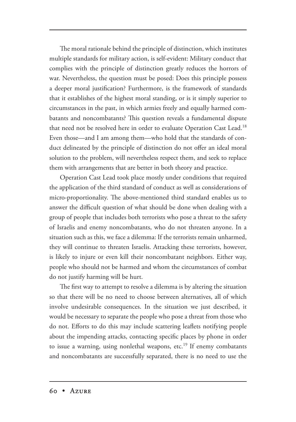The moral rationale behind the principle of distinction, which institutes multiple standards for military action, is self-evident: Military conduct that complies with the principle of distinction greatly reduces the horrors of war. Nevertheless, the question must be posed: Does this principle possess a deeper moral justification? Furthermore, is the framework of standards that it establishes of the highest moral standing, or is it simply superior to circumstances in the past, in which armies freely and equally harmed combatants and noncombatants? This question reveals a fundamental dispute that need not be resolved here in order to evaluate Operation Cast Lead.<sup>18</sup> Even those—and I am among them—who hold that the standards of conduct delineated by the principle of distinction do not offer an ideal moral solution to the problem, will nevertheless respect them, and seek to replace them with arrangements that are better in both theory and practice.

Operation Cast Lead took place mostly under conditions that required the application of the third standard of conduct as well as considerations of micro-proportionality. The above-mentioned third standard enables us to answer the difficult question of what should be done when dealing with a group of people that includes both terrorists who pose a threat to the safety of Israelis and enemy noncombatants, who do not threaten anyone. In a situation such as this, we face a dilemma: If the terrorists remain unharmed, they will continue to threaten Israelis. Attacking these terrorists, however, is likely to injure or even kill their noncombatant neighbors. Either way, people who should not be harmed and whom the circumstances of combat do not justify harming will be hurt.

The first way to attempt to resolve a dilemma is by altering the situation so that there will be no need to choose between alternatives, all of which involve undesirable consequences. In the situation we just described, it would be necessary to separate the people who pose a threat from those who do not. Efforts to do this may include scattering leaflets notifying people about the impending attacks, contacting specific places by phone in order to issue a warning, using nonlethal weapons, etc.<sup>19</sup> If enemy combatants and noncombatants are successfully separated, there is no need to use the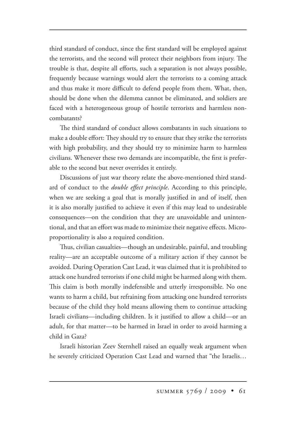third standard of conduct, since the first standard will be employed against the terrorists, and the second will protect their neighbors from injury. The trouble is that, despite all efforts, such a separation is not always possible, frequently because warnings would alert the terrorists to a coming attack and thus make it more difficult to defend people from them. What, then, should be done when the dilemma cannot be eliminated, and soldiers are faced with a heterogeneous group of hostile terrorists and harmless noncombatants?

e third standard of conduct allows combatants in such situations to make a double effort: They should try to ensure that they strike the terrorists with high probability, and they should try to minimize harm to harmless civilians. Whenever these two demands are incompatible, the first is preferable to the second but never overrides it entirely.

Discussions of just war theory relate the above-mentioned third standard of conduct to the *double effect principle*. According to this principle, when we are seeking a goal that is morally justified in and of itself, then it is also morally justified to achieve it even if this may lead to undesirable consequences—on the condition that they are unavoidable and unintentional, and that an effort was made to minimize their negative effects. Microproportionality is also a required condition.

Thus, civilian casualties—though an undesirable, painful, and troubling reality—are an acceptable outcome of a military action if they cannot be avoided. During Operation Cast Lead, it was claimed that it is prohibited to attack one hundred terrorists if one child might be harmed along with them. This claim is both morally indefensible and utterly irresponsible. No one wants to harm a child, but refraining from attacking one hundred terrorists because of the child they hold means allowing them to continue attacking Israeli civilians—including children. Is it justified to allow a child—or an adult, for that matter—to be harmed in Israel in order to avoid harming a child in Gaza?

Israeli historian Zeev Sternhell raised an equally weak argument when he severely criticized Operation Cast Lead and warned that "the Israelis…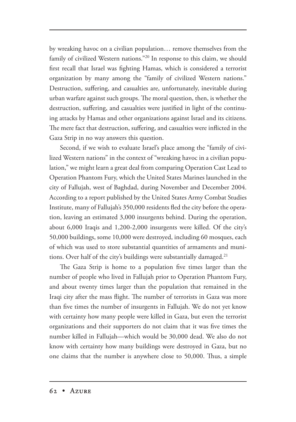by wreaking havoc on a civilian population… remove themselves from the family of civilized Western nations."20 In response to this claim, we should first recall that Israel was fighting Hamas, which is considered a terrorist organization by many among the "family of civilized Western nations." Destruction, suffering, and casualties are, unfortunately, inevitable during urban warfare against such groups. The moral question, then, is whether the destruction, suffering, and casualties were justified in light of the continuing attacks by Hamas and other organizations against Israel and its citizens. The mere fact that destruction, suffering, and casualties were inflicted in the Gaza Strip in no way answers this question.

Second, if we wish to evaluate Israel's place among the "family of civilized Western nations" in the context of "wreaking havoc in a civilian population," we might learn a great deal from comparing Operation Cast Lead to Operation Phantom Fury, which the United States Marines launched in the city of Fallujah, west of Baghdad, during November and December 2004. According to a report published by the United States Army Combat Studies Institute, many of Fallujah's 350,000 residents fled the city before the operation, leaving an estimated 3,000 insurgents behind. During the operation, about 6,000 Iraqis and 1,200-2,000 insurgents were killed. Of the city's 50,000 buildings, some 10,000 were destroyed, including 60 mosques, each of which was used to store substantial quantities of armaments and munitions. Over half of the city's buildings were substantially damaged.<sup>21</sup>

The Gaza Strip is home to a population five times larger than the number of people who lived in Fallujah prior to Operation Phantom Fury, and about twenty times larger than the population that remained in the Iraqi city after the mass flight. The number of terrorists in Gaza was more than five times the number of insurgents in Fallujah. We do not yet know with certainty how many people were killed in Gaza, but even the terrorist organizations and their supporters do not claim that it was five times the number killed in Fallujah—which would be 30,000 dead. We also do not know with certainty how many buildings were destroyed in Gaza, but no one claims that the number is anywhere close to 50,000. Thus, a simple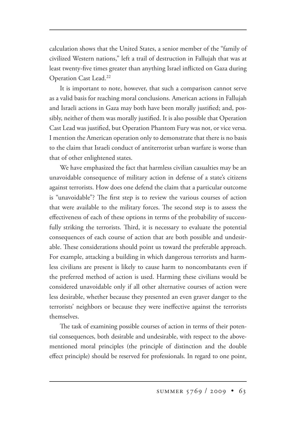calculation shows that the United States, a senior member of the "family of civilized Western nations," left a trail of destruction in Fallujah that was at least twenty-five times greater than anything Israel inflicted on Gaza during Operation Cast Lead.<sup>22</sup>

It is important to note, however, that such a comparison cannot serve as a valid basis for reaching moral conclusions. American actions in Fallujah and Israeli actions in Gaza may both have been morally justified; and, possibly, neither of them was morally justified. It is also possible that Operation Cast Lead was justified, but Operation Phantom Fury was not, or vice versa. I mention the American operation only to demonstrate that there is no basis to the claim that Israeli conduct of antiterrorist urban warfare is worse than that of other enlightened states.

We have emphasized the fact that harmless civilian casualties may be an unavoidable consequence of military action in defense of a state's citizens against terrorists. How does one defend the claim that a particular outcome is "unavoidable"? The first step is to review the various courses of action that were available to the military forces. The second step is to assess the effectiveness of each of these options in terms of the probability of successfully striking the terrorists. Third, it is necessary to evaluate the potential consequences of each course of action that are both possible and undesirable. These considerations should point us toward the preferable approach. For example, attacking a building in which dangerous terrorists and harmless civilians are present is likely to cause harm to noncombatants even if the preferred method of action is used. Harming these civilians would be considered unavoidable only if all other alternative courses of action were less desirable, whether because they presented an even graver danger to the terrorists' neighbors or because they were ineffective against the terrorists themselves.

The task of examining possible courses of action in terms of their potential consequences, both desirable and undesirable, with respect to the abovementioned moral principles (the principle of distinction and the double effect principle) should be reserved for professionals. In regard to one point,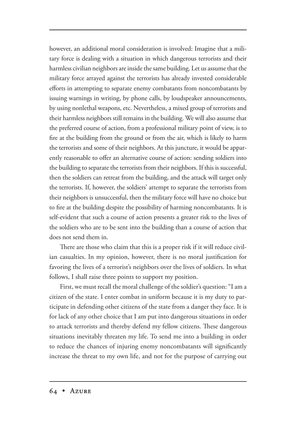however, an additional moral consideration is involved: Imagine that a military force is dealing with a situation in which dangerous terrorists and their harmless civilian neighbors are inside the same building. Let us assume that the military force arrayed against the terrorists has already invested considerable efforts in attempting to separate enemy combatants from noncombatants by issuing warnings in writing, by phone calls, by loudspeaker announcements, by using nonlethal weapons, etc. Nevertheless, a mixed group of terrorists and their harmless neighbors still remains in the building. We will also assume that the preferred course of action, from a professional military point of view, is to fire at the building from the ground or from the air, which is likely to harm the terrorists and some of their neighbors. At this juncture, it would be apparently reasonable to offer an alternative course of action: sending soldiers into the building to separate the terrorists from their neighbors. If this is successful, then the soldiers can retreat from the building, and the attack will target only the terrorists. If, however, the soldiers' attempt to separate the terrorists from their neighbors is unsuccessful, then the military force will have no choice but to fire at the building despite the possibility of harming noncombatants. It is self-evident that such a course of action presents a greater risk to the lives of the soldiers who are to be sent into the building than a course of action that does not send them in.

There are those who claim that this is a proper risk if it will reduce civilian casualties. In my opinion, however, there is no moral justification for favoring the lives of a terrorist's neighbors over the lives of soldiers. In what follows, I shall raise three points to support my position.

First, we must recall the moral challenge of the soldier's question: "I am a citizen of the state. I enter combat in uniform because it is my duty to participate in defending other citizens of the state from a danger they face. It is for lack of any other choice that I am put into dangerous situations in order to attack terrorists and thereby defend my fellow citizens. These dangerous situations inevitably threaten my life. To send me into a building in order to reduce the chances of injuring enemy noncombatants will significantly increase the threat to my own life, and not for the purpose of carrying out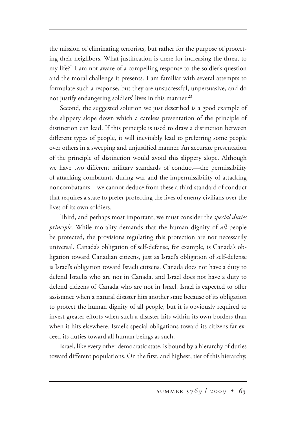the mission of eliminating terrorists, but rather for the purpose of protecting their neighbors. What justification is there for increasing the threat to my life?" I am not aware of a compelling response to the soldier's question and the moral challenge it presents. I am familiar with several attempts to formulate such a response, but they are unsuccessful, unpersuasive, and do not justify endangering soldiers' lives in this manner.<sup>23</sup>

Second, the suggested solution we just described is a good example of the slippery slope down which a careless presentation of the principle of distinction can lead. If this principle is used to draw a distinction between different types of people, it will inevitably lead to preferring some people over others in a sweeping and unjustified manner. An accurate presentation of the principle of distinction would avoid this slippery slope. Although we have two different military standards of conduct—the permissibility of attacking combatants during war and the impermissibility of attacking noncombatants—we cannot deduce from these a third standard of conduct that requires a state to prefer protecting the lives of enemy civilians over the lives of its own soldiers.

Third, and perhaps most important, we must consider the *special duties principle*. While morality demands that the human dignity of *all* people be protected, the provisions regulating this protection are not necessarily universal. Canada's obligation of self-defense, for example, is Canada's obligation toward Canadian citizens, just as Israel's obligation of self-defense is Israel's obligation toward Israeli citizens. Canada does not have a duty to defend Israelis who are not in Canada, and Israel does not have a duty to defend citizens of Canada who are not in Israel. Israel is expected to offer assistance when a natural disaster hits another state because of its obligation to protect the human dignity of all people, but it is obviously required to invest greater efforts when such a disaster hits within its own borders than when it hits elsewhere. Israel's special obligations toward its citizens far exceed its duties toward all human beings as such.

Israel, like every other democratic state, is bound by a hierarchy of duties toward different populations. On the first, and highest, tier of this hierarchy,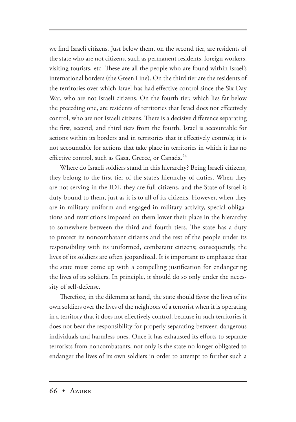we find Israeli citizens. Just below them, on the second tier, are residents of the state who are not citizens, such as permanent residents, foreign workers, visiting tourists, etc. These are all the people who are found within Israel's international borders (the Green Line). On the third tier are the residents of the territories over which Israel has had effective control since the Six Day War, who are not Israeli citizens. On the fourth tier, which lies far below the preceding one, are residents of territories that Israel does not effectively control, who are not Israeli citizens. There is a decisive difference separating the first, second, and third tiers from the fourth. Israel is accountable for actions within its borders and in territories that it effectively controls; it is not accountable for actions that take place in territories in which it has no effective control, such as Gaza, Greece, or Canada.<sup>24</sup>

Where do Israeli soldiers stand in this hierarchy? Being Israeli citizens, they belong to the first tier of the state's hierarchy of duties. When they are not serving in the IDF, they are full citizens, and the State of Israel is duty-bound to them, just as it is to all of its citizens. However, when they are in military uniform and engaged in military activity, special obligations and restrictions imposed on them lower their place in the hierarchy to somewhere between the third and fourth tiers. The state has a duty to protect its noncombatant citizens and the rest of the people under its responsibility with its uniformed, combatant citizens; consequently, the lives of its soldiers are often jeopardized. It is important to emphasize that the state must come up with a compelling justification for endangering the lives of its soldiers. In principle, it should do so only under the necessity of self-defense.

Therefore, in the dilemma at hand, the state should favor the lives of its own soldiers over the lives of the neighbors of a terrorist when it is operating in a territory that it does not effectively control, because in such territories it does not bear the responsibility for properly separating between dangerous individuals and harmless ones. Once it has exhausted its efforts to separate terrorists from noncombatants, not only is the state no longer obligated to endanger the lives of its own soldiers in order to attempt to further such a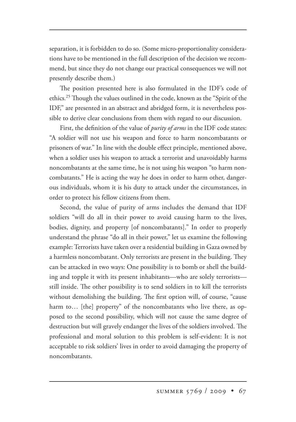separation, it is forbidden to do so. (Some micro-proportionality considerations have to be mentioned in the full description of the decision we recommend, but since they do not change our practical consequences we will not presently describe them.)

The position presented here is also formulated in the IDF's code of ethics.<sup>25</sup> Though the values outlined in the code, known as the "Spirit of the IDF," are presented in an abstract and abridged form, it is nevertheless possible to derive clear conclusions from them with regard to our discussion.

First, the definition of the value of *purity of arms* in the IDF code states: "A soldier will not use his weapon and force to harm noncombatants or prisoners of war." In line with the double effect principle, mentioned above, when a soldier uses his weapon to attack a terrorist and unavoidably harms noncombatants at the same time, he is not using his weapon "to harm noncombatants." He is acting the way he does in order to harm other, dangerous individuals, whom it is his duty to attack under the circumstances, in order to protect his fellow citizens from them.

Second, the value of purity of arms includes the demand that IDF soldiers "will do all in their power to avoid causing harm to the lives, bodies, dignity, and property [of noncombatants]." In order to properly understand the phrase "do all in their power," let us examine the following example: Terrorists have taken over a residential building in Gaza owned by a harmless noncombatant. Only terrorists are present in the building. They can be attacked in two ways: One possibility is to bomb or shell the building and topple it with its present inhabitants—who are solely terrorists still inside. The other possibility is to send soldiers in to kill the terrorists without demolishing the building. The first option will, of course, "cause harm to... [the] property" of the noncombatants who live there, as opposed to the second possibility, which will not cause the same degree of destruction but will gravely endanger the lives of the soldiers involved. The professional and moral solution to this problem is self-evident: It is not acceptable to risk soldiers' lives in order to avoid damaging the property of noncombatants.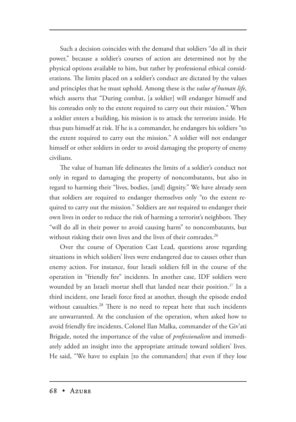Such a decision coincides with the demand that soldiers "do all in their power," because a soldier's courses of action are determined not by the physical options available to him, but rather by professional ethical considerations. The limits placed on a soldier's conduct are dictated by the values and principles that he must uphold. Among these is the *value of human life*, which asserts that "During combat, [a soldier] will endanger himself and his comrades only to the extent required to carry out their mission." When a soldier enters a building, his mission is to attack the terrorists inside. He thus puts himself at risk. If he is a commander, he endangers his soldiers "to the extent required to carry out the mission." A soldier will not endanger himself or other soldiers in order to avoid damaging the property of enemy civilians.

The value of human life delineates the limits of a soldier's conduct not only in regard to damaging the property of noncombatants, but also in regard to harming their "lives, bodies, [and] dignity." We have already seen that soldiers are required to endanger themselves only "to the extent required to carry out the mission." Soldiers are *not* required to endanger their own lives in order to reduce the risk of harming a terrorist's neighbors. They "will do all in their power to avoid causing harm" to noncombatants, but without risking their own lives and the lives of their comrades.<sup>26</sup>

Over the course of Operation Cast Lead, questions arose regarding situations in which soldiers' lives were endangered due to causes other than enemy action. For instance, four Israeli soldiers fell in the course of the operation in "friendly fire" incidents. In another case, IDF soldiers were wounded by an Israeli mortar shell that landed near their position.<sup>27</sup> In a third incident, one Israeli force fired at another, though the episode ended without casualties.<sup>28</sup> There is no need to repeat here that such incidents are unwarranted. At the conclusion of the operation, when asked how to avoid friendly fire incidents, Colonel Ilan Malka, commander of the Giv'ati Brigade, noted the importance of the value of *professionalism* and immediately added an insight into the appropriate attitude toward soldiers' lives. He said, "We have to explain [to the commanders] that even if they lose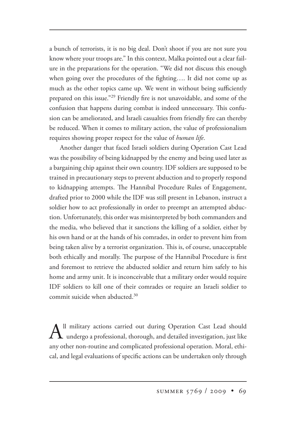a bunch of terrorists, it is no big deal. Don't shoot if you are not sure you know where your troops are." In this context, Malka pointed out a clear failure in the preparations for the operation. "We did not discuss this enough when going over the procedures of the fighting…. It did not come up as much as the other topics came up. We went in without being sufficiently prepared on this issue."29 Friendly fire is not unavoidable, and some of the confusion that happens during combat is indeed unnecessary. This confusion can be ameliorated, and Israeli casualties from friendly fire can thereby be reduced. When it comes to military action, the value of professionalism requires showing proper respect for the value of *human life*.

Another danger that faced Israeli soldiers during Operation Cast Lead was the possibility of being kidnapped by the enemy and being used later as a bargaining chip against their own country. IDF soldiers are supposed to be trained in precautionary steps to prevent abduction and to properly respond to kidnapping attempts. The Hannibal Procedure Rules of Engagement, drafted prior to 2000 while the IDF was still present in Lebanon, instruct a soldier how to act professionally in order to preempt an attempted abduction. Unfortunately, this order was misinterpreted by both commanders and the media, who believed that it sanctions the killing of a soldier, either by his own hand or at the hands of his comrades, in order to prevent him from being taken alive by a terrorist organization. This is, of course, unacceptable both ethically and morally. The purpose of the Hannibal Procedure is first and foremost to retrieve the abducted soldier and return him safely to his home and army unit. It is inconceivable that a military order would require IDF soldiers to kill one of their comrades or require an Israeli soldier to commit suicide when abducted.30

 $A^{\text{l}}$  military actions carried out during Operation Cast Lead should undergo a professional, thorough, and detailed investigation, just like any other non-routine and complicated professional operation. Moral, ethical, and legal evaluations of specific actions can be undertaken only through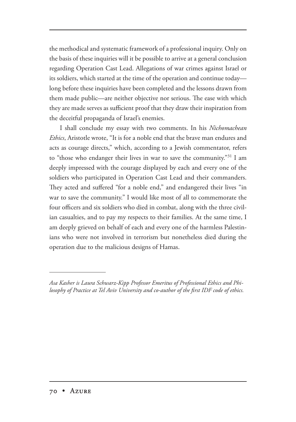the methodical and systematic framework of a professional inquiry. Only on the basis of these inquiries will it be possible to arrive at a general conclusion regarding Operation Cast Lead. Allegations of war crimes against Israel or its soldiers, which started at the time of the operation and continue today long before these inquiries have been completed and the lessons drawn from them made public—are neither objective nor serious. The ease with which they are made serves as sufficient proof that they draw their inspiration from the deceitful propaganda of Israel's enemies.

I shall conclude my essay with two comments. In his *Nichomachean Ethics*, Aristotle wrote, "It is for a noble end that the brave man endures and acts as courage directs," which, according to a Jewish commentator, refers to "those who endanger their lives in war to save the community."<sup>31</sup> I am deeply impressed with the courage displayed by each and every one of the soldiers who participated in Operation Cast Lead and their commanders. They acted and suffered "for a noble end," and endangered their lives "in war to save the community." I would like most of all to commemorate the four officers and six soldiers who died in combat, along with the three civilian casualties, and to pay my respects to their families. At the same time, I am deeply grieved on behalf of each and every one of the harmless Palestinians who were not involved in terrorism but nonetheless died during the operation due to the malicious designs of Hamas.

*Asa Kasher is Laura Schwarz-Kipp Professor Emeritus of Professional Ethics and Philosophy of Practice at Tel Aviv University and co-author of the first IDF code of ethics.*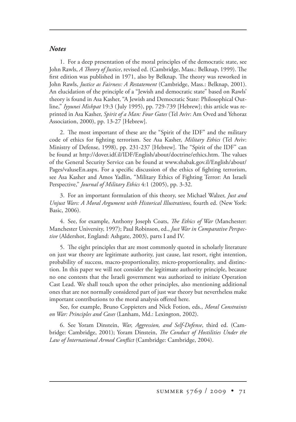## *Notes*

1. For a deep presentation of the moral principles of the democratic state, see John Rawls, *A Theory of Justice*, revised ed. (Cambridge, Mass.: Belknap, 1999). The first edition was published in 1971, also by Belknap. The theory was reworked in John Rawls, *Justice as Fairness: A Restatement* (Cambridge, Mass.: Belknap, 2001). An elucidation of the principle of a "Jewish and democratic state" based on Rawls' theory is found in Asa Kasher, "A Jewish and Democratic State: Philosophical Outline," *Iyyunei Mishpat* 19:3 (July 1995), pp. 729-739 [Hebrew]; this article was reprinted in Asa Kasher, *Spirit of a Man: Four Gates* (Tel Aviv: Am Oved and Yehoraz Association, 2000), pp. 13-27 [Hebrew].

2. The most important of these are the "Spirit of the IDF" and the military code of ethics for fighting terrorism. See Asa Kasher, *Military Ethics* (Tel Aviv: Ministry of Defense, 1998), pp. 231-237 [Hebrew]. The "Spirit of the IDF" can be found at http://dover.idf.il/IDF/English/about/doctrine/ethics.htm. The values of the General Security Service can be found at www.shabak.gov.il/English/about/ Pages/valuseEn.aspx. For a specific discussion of the ethics of fighting terrorism, see Asa Kasher and Amos Yadlin, "Military Ethics of Fighting Terror: An Israeli Perspective," *Journal of Military Ethics* 4:1 (2005), pp. 3-32.

3. For an important formulation of this theory, see Michael Walzer, *Just and Unjust Wars: A Moral Argument with Historical Illustrations*, fourth ed. (New York: Basic, 2006).

4. See, for example, Anthony Joseph Coats, *The Ethics of War* (Manchester: Manchester University, 1997); Paul Robinson, ed., *Just War in Comparative Perspective* (Aldershot, England: Ashgate, 2003), parts I and IV.

5. The eight principles that are most commonly quoted in scholarly literature on just war theory are legitimate authority, just cause, last resort, right intention, probability of success, macro-proportionality, micro-proportionality, and distinction. In this paper we will not consider the legitimate authority principle, because no one contests that the Israeli government was authorized to initiate Operation Cast Lead. We shall touch upon the other principles, also mentioning additional ones that are not normally considered part of just war theory but nevertheless make important contributions to the moral analysis offered here.

See, for example, Bruno Coppieters and Nick Fotion, eds., *Moral Constraints*  on War: Principles and Cases (Lanham, Md.: Lexington, 2002).

6. See Yoram Dinstein, *War, Aggression, and Self-Defense*, third ed. (Cambridge: Cambridge, 2001); Yoram Dinstein, *The Conduct of Hostilities Under the Law of International Armed Conflict* (Cambridge: Cambridge, 2004).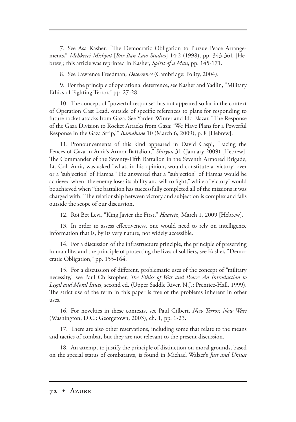7. See Asa Kasher, "The Democratic Obligation to Pursue Peace Arrangements," *Mehkerei Mishpat* [*Bar-Ilan Law Studies*] 14:2 (1998), pp. 343-361 [Hebrew]; this article was reprinted in Kasher, *Spirit of a Man*, pp. 145-171.

8. See Lawrence Freedman, *Deterrence* (Cambridge: Polity, 2004).

9. For the principle of operational deterrence, see Kasher and Yadlin, "Military Ethics of Fighting Terror," pp. 27-28.

10. The concept of "powerful response" has not appeared so far in the context of Operation Cast Lead, outside of specific references to plans for responding to future rocket attacks from Gaza. See Yarden Winter and Ido Elazar, "The Response of the Gaza Division to Rocket Attacks from Gaza: 'We Have Plans for a Powerful Response in the Gaza Strip," *Bamahane* 10 (March 6, 2009), p. 8 [Hebrew].

11. Pronouncements of this kind appeared in David Caspi, "Facing the Fences of Gaza in Amir's Armor Battalion," *Shiryon* 31 (January 2009) [Hebrew]. The Commander of the Seventy-Fifth Battalion in the Seventh Armored Brigade, Lt. Col. Amir, was asked "what, in his opinion, would constitute a 'victory' over or a 'subjection' of Hamas." He answered that a "subjection" of Hamas would be achieved when "the enemy loses its ability and will to fight," while a "victory" would be achieved when "the battalion has successfully completed all of the missions it was charged with." The relationship between victory and subjection is complex and falls outside the scope of our discussion.

12. Roi Bet Levi, "King Javier the First," *Haaretz*, March 1, 2009 [Hebrew].

13. In order to assess effectiveness, one would need to rely on intelligence information that is, by its very nature, not widely accessible.

14. For a discussion of the infrastructure principle, the principle of preserving human life, and the principle of protecting the lives of soldiers, see Kasher, "Democratic Obligation," pp. 155-164.

15. For a discussion of different, problematic uses of the concept of "military necessity," see Paul Christopher, *The Ethics of War and Peace: An Introduction to Legal and Moral Issues*, second ed. (Upper Saddle River, N.J.: Prentice-Hall, 1999). The strict use of the term in this paper is free of the problems inherent in other uses.

16. For novelties in these contexts, see Paul Gilbert, *New Terror, New Wars* (Washington, D.C.: Georgetown, 2003), ch. 1, pp. 1-23.

17. There are also other reservations, including some that relate to the means and tactics of combat, but they are not relevant to the present discussion.

18. An attempt to justify the principle of distinction on moral grounds, based on the special status of combatants, is found in Michael Walzer's *Just and Unjust*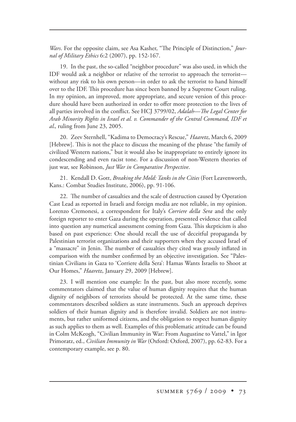*Wars*. For the opposite claim, see Asa Kasher, "The Principle of Distinction," *Journal of Military Ethics* 6:2 (2007), pp. 152-167.

19. In the past, the so-called "neighbor procedure" was also used, in which the IDF would ask a neighbor or relative of the terrorist to approach the terrorist without any risk to his own person—in order to ask the terrorist to hand himself over to the IDF. This procedure has since been banned by a Supreme Court ruling. In my opinion, an improved, more appropriate, and secure version of this procedure should have been authorized in order to offer more protection to the lives of all parties involved in the conflict. See HCJ 3799/02, *Adalah—The Legal Center for Arab Minority Rights in Israel et al. v. Commander of the Central Command, IDF et al.*, ruling from June 23, 2005.

20. Zeev Sternhell, "Kadima to Democracy's Rescue," *Haaretz*, March 6, 2009 [Hebrew]. This is not the place to discuss the meaning of the phrase "the family of civilized Western nations," but it would also be inappropriate to entirely ignore its condescending and even racist tone. For a discussion of non-Western theories of just war, see Robinson, *Just War in Comparative Perspective*.

21. Kendall D. Gott, *Breaking the Mold: Tanks in the Cities* (Fort Leavenworth, Kans.: Combat Studies Institute, 2006), pp. 91-106.

22. The number of casualties and the scale of destruction caused by Operation Cast Lead as reported in Israeli and foreign media are not reliable, in my opinion. Lorenzo Cremonesi, a correspondent for Italy's *Corriere della Sera* and the only foreign reporter to enter Gaza during the operation, presented evidence that called into question any numerical assessment coming from Gaza. This skepticism is also based on past experience: One should recall the use of deceitful propaganda by Palestinian terrorist organizations and their supporters when they accused Israel of a "massacre" in Jenin. The number of casualties they cited was grossly inflated in comparison with the number confirmed by an objective investigation. See "Palestinian Civilians in Gaza to 'Corriere della Sera': Hamas Wants Israelis to Shoot at Our Homes," *Haaretz*, January 29, 2009 [Hebrew].

23. I will mention one example: In the past, but also more recently, some commentators claimed that the value of human dignity requires that the human dignity of neighbors of terrorists should be protected. At the same time, these commentators described soldiers as state instruments. Such an approach deprives soldiers of their human dignity and is therefore invalid. Soldiers are not instruments, but rather uniformed citizens, and the obligation to respect human dignity as such applies to them as well. Examples of this problematic attitude can be found in Colm McKeogh, "Civilian Immunity in War: From Augustine to Vattel," in Igor Primoratz, ed., *Civilian Immunity in War* (Oxford: Oxford, 2007), pp. 62-83. For a contemporary example, see p. 80.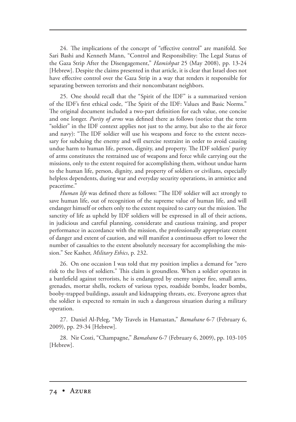24. The implications of the concept of "effective control" are manifold. See Sari Bashi and Kenneth Mann, "Control and Responsibility: The Legal Status of the Gaza Strip After the Disengagement," *Hamishpat* 25 (May 2008), pp. 13-24 [Hebrew]. Despite the claims presented in that article, it is clear that Israel does not have effective control over the Gaza Strip in a way that renders it responsible for separating between terrorists and their noncombatant neighbors.

25. One should recall that the "Spirit of the IDF" is a summarized version of the IDF's first ethical code, "The Spirit of the IDF: Values and Basic Norms." The original document included a two-part definition for each value, one concise and one longer. *Purity of arms* was defined there as follows (notice that the term "soldier" in the IDF context applies not just to the army, but also to the air force and navy): "The IDF soldier will use his weapons and force to the extent necessary for subduing the enemy and will exercise restraint in order to avoid causing undue harm to human life, person, dignity, and property. The IDF soldiers' purity of arms constitutes the restrained use of weapons and force while carrying out the missions, only to the extent required for accomplishing them, without undue harm to the human life, person, dignity, and property of soldiers or civilians, especially helpless dependents, during war and everyday security operations, in armistice and peacetime."

Human life was defined there as follows: "The IDF soldier will act strongly to save human life, out of recognition of the supreme value of human life, and will endanger himself or others only to the extent required to carry out the mission. The sanctity of life as upheld by IDF soldiers will be expressed in all of their actions, in judicious and careful planning, considerate and cautious training, and proper performance in accordance with the mission, the professionally appropriate extent of danger and extent of caution, and will manifest a continuous effort to lower the number of casualties to the extent absolutely necessary for accomplishing the mission." See Kasher, *Military Ethics*, p. 232.

26. On one occasion I was told that my position implies a demand for "zero risk to the lives of soldiers." This claim is groundless. When a soldier operates in a battlefield against terrorists, he is endangered by enemy sniper fire, small arms, grenades, mortar shells, rockets of various types, roadside bombs, loader bombs, booby-trapped buildings, assault and kidnapping threats, etc. Everyone agrees that the soldier is expected to remain in such a dangerous situation during a military operation.

27. Daniel Al-Peleg, "My Travels in Hamastan," *Bamahane* 6-7 (February 6, 2009), pp. 29-34 [Hebrew].

28. Nir Costi, "Champagne," *Bamahane* 6-7 (February 6, 2009), pp. 103-105 [Hebrew].